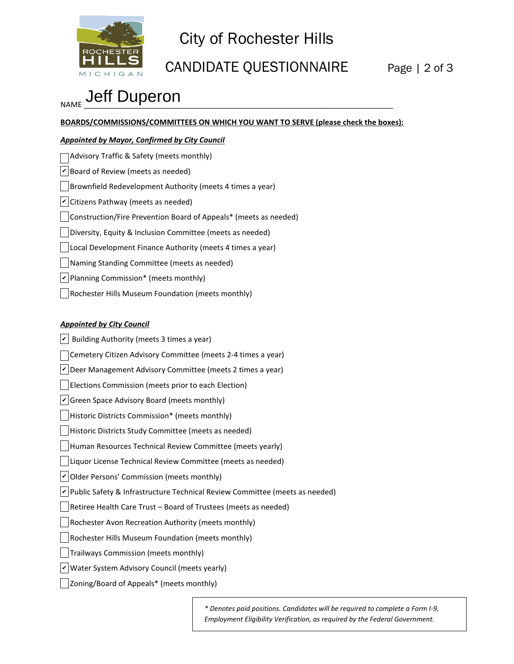

## City of Rochester Hills

## CANDIDATE QUESTIONNAIRE Page | 2 of 3

# <sub>NAME</sub> Jeff Duperon

**BOARDS/COMMISSIONS/COMMITTEES ON WHICH YOU WANT TO SERVE (please check the boxes):**

### *Appointed by Mayor, Confirmed by City Council*

| Advisory Traffic & Safety (meets monthly)                        |
|------------------------------------------------------------------|
| $ v $ Board of Review (meets as needed)                          |
| Brownfield Redevelopment Authority (meets 4 times a year)        |
| $\vert \mathbf{v} \vert$ Citizens Pathway (meets as needed)      |
| Construction/Fire Prevention Board of Appeals* (meets as needed) |
| Diversity, Equity & Inclusion Committee (meets as needed)        |
| Local Development Finance Authority (meets 4 times a year)       |
| Naming Standing Committee (meets as needed)                      |
| $ v $ Planning Commission* (meets monthly)                       |
| Rochester Hills Museum Foundation (meets monthly)                |

*Appointed by City Council*  $|v|$  Building Authority (meets 3 times a year) Cemetery Citizen Advisory Committee (meets 2-4 times a year)  $\nu$  Deer Management Advisory Committee (meets 2 times a year) Elections Commission (meets prior to each Election)  $\vee$  Green Space Advisory Board (meets monthly) Historic Districts Commission\* (meets monthly) Historic Districts Study Committee (meets as needed) Human Resources Technical Review Committee (meets yearly) Liquor License Technical Review Committee (meets as needed)  $\nu$  Older Persons' Commission (meets monthly) ∠ Public Safety & Infrastructure Technical Review Committee (meets as needed) Retiree Health Care Trust – Board of Trustees (meets as needed) Rochester Avon Recreation Authority (meets monthly) Rochester Hills Museum Foundation (meets monthly)  $\vert \ \vert$ Trailways Commission (meets monthly)  $\nu$  Water System Advisory Council (meets yearly) Zoning/Board of Appeals\* (meets monthly)

> *\* Denotes paid positions. Candidates will be required to complete a Form I-9, Employment Eligibility Verification, as required by the Federal Government.*